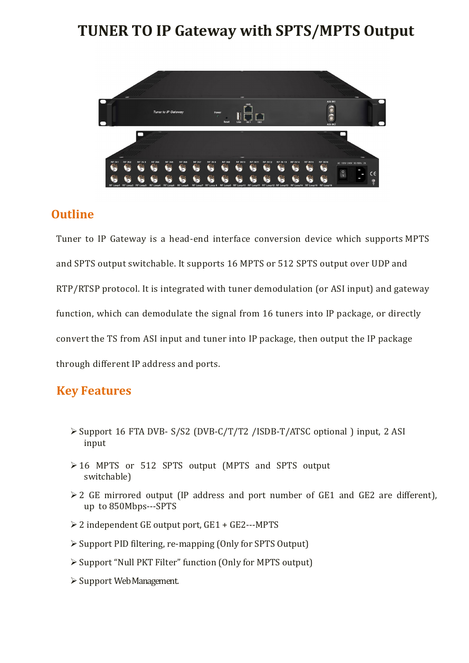## **TUNER TO IP Gateway with SPTS/MPTS Output**



## **Outline**

Tuner to IP Gateway is a head-end interface conversion device which supports MPTS and SPTS output switchable. It supports 16 MPTS or 512 SPTS output over UDP and RTP/RTSP protocol. It is integrated with tuner demodulation (or ASI input) and gateway function, which can demodulate the signal from 16 tuners into IP package, or directly convert the TS from ASI input and tuner into IP package, then output the IP package through different IP address and ports.

## **Key Features**

- Support 16 FTA DVB- S/S2 (DVB-C/T/T2 /ISDB-T/ATSC optional ) input, 2 ASI input
- 16 MPTS or 512 SPTS output (MPTS and SPTS output switchable)
- 2 GE mirrored output (IP address and port number of GE1 and GE2 are different), up to 850Mbps---SPTS
- 2 independent GE output port, GE1 + GE2---MPTS
- Support PID filtering, re-mapping (Only for SPTS Output)
- Support "Null PKT Filter" function (Only for MPTS output)
- $\triangleright$  Support Web Management.